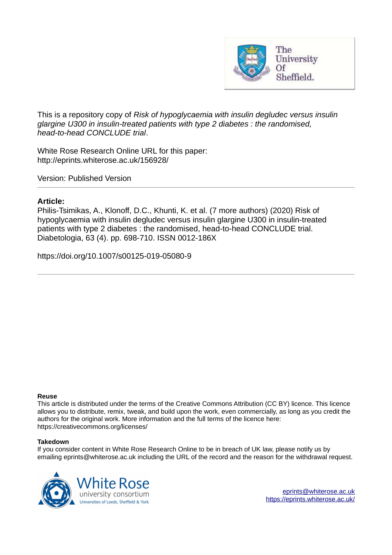

This is a repository copy of *Risk of hypoglycaemia with insulin degludec versus insulin glargine U300 in insulin-treated patients with type 2 diabetes : the randomised, head-to-head CONCLUDE trial*.

White Rose Research Online URL for this paper: http://eprints.whiterose.ac.uk/156928/

Version: Published Version

## **Article:**

Philis-Tsimikas, A., Klonoff, D.C., Khunti, K. et al. (7 more authors) (2020) Risk of hypoglycaemia with insulin degludec versus insulin glargine U300 in insulin-treated patients with type 2 diabetes : the randomised, head-to-head CONCLUDE trial. Diabetologia, 63 (4). pp. 698-710. ISSN 0012-186X

https://doi.org/10.1007/s00125-019-05080-9

## **Reuse**

This article is distributed under the terms of the Creative Commons Attribution (CC BY) licence. This licence allows you to distribute, remix, tweak, and build upon the work, even commercially, as long as you credit the authors for the original work. More information and the full terms of the licence here: https://creativecommons.org/licenses/

## **Takedown**

If you consider content in White Rose Research Online to be in breach of UK law, please notify us by emailing eprints@whiterose.ac.uk including the URL of the record and the reason for the withdrawal request.

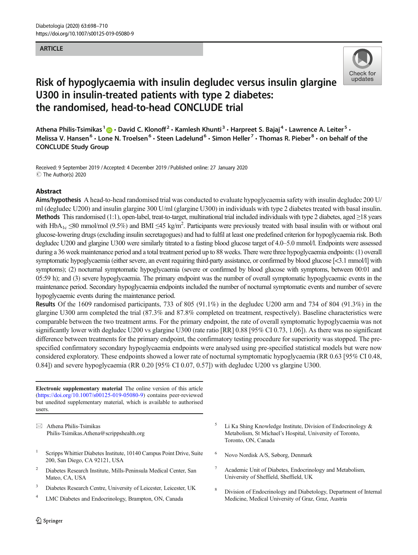## **ARTICLE**



# Risk of hypoglycaemia with insulin degludec versus insulin glargine U300 in insulin-treated patients with type 2 diabetes: the randomised, head-to-head CONCLUDE trial

Athena Philis-Tsimikas <sup>1</sup> D · David C. Klonoff<sup>2</sup> · Kamlesh Khunti<sup>3</sup> · Harpreet S. Bajaj<sup>4</sup> · Lawrence A. Leiter<sup>5</sup> · Melissa V. Hansen<sup>6</sup> • Lone N. Troelsen<sup>6</sup> • Steen Ladelund<sup>6</sup> • Simon Heller<sup>7</sup> • Thomas R. Pieber<sup>8</sup> • on behalf of the CONCLUDE Study Group

Received: 9 September 2019 /Accepted: 4 December 2019 /Published online: 27 January 2020 $\circledcirc$  The Author(s) 2020

### Abstract

Aims/hypothesis A head-to-head randomised trial was conducted to evaluate hypoglycaemia safety with insulin degludec 200 U/ ml (degludec U200) and insulin glargine 300 U/ml (glargine U300) in individuals with type 2 diabetes treated with basal insulin. Methods This randomised (1:1), open-label, treat-to-target, multinational trial included individuals with type 2 diabetes, aged  $\geq$ 18 years with  $HbA_{1c} \leq 80$  mmol/mol (9.5%) and BMI  $\leq 45$  kg/m<sup>2</sup>. Participants were previously treated with basal insulin with or without oral glucose-lowering drugs (excluding insulin secretagogues) and had to fulfil at least one predefined criterion for hypoglycaemia risk. Both degludec U200 and glargine U300 were similarly titrated to a fasting blood glucose target of 4.0–5.0 mmol/l. Endpoints were assessed during a 36 week maintenance period and a total treatment period up to 88 weeks. There were three hypoglycaemia endpoints: (1) overall symptomatic hypoglycaemia (either severe, an event requiring third-party assistance, or confirmed by blood glucose [<3.1 mmol/l] with symptoms); (2) nocturnal symptomatic hypoglycaemia (severe or confirmed by blood glucose with symptoms, between 00:01 and 05:59 h); and (3) severe hypoglycaemia. The primary endpoint was the number of overall symptomatic hypoglycaemic events in the maintenance period. Secondary hypoglycaemia endpoints included the number of nocturnal symptomatic events and number of severe hypoglycaemic events during the maintenance period.

Results Of the 1609 randomised participants, 733 of 805 (91.1%) in the degludec U200 arm and 734 of 804 (91.3%) in the glargine U300 arm completed the trial (87.3% and 87.8% completed on treatment, respectively). Baseline characteristics were comparable between the two treatment arms. For the primary endpoint, the rate of overall symptomatic hypoglycaemia was not significantly lower with degludec U200 vs glargine U300 (rate ratio [RR] 0.88 [95% CI 0.73, 1.06]). As there was no significant difference between treatments for the primary endpoint, the confirmatory testing procedure for superiority was stopped. The prespecified confirmatory secondary hypoglycaemia endpoints were analysed using pre-specified statistical models but were now considered exploratory. These endpoints showed a lower rate of nocturnal symptomatic hypoglycaemia (RR 0.63 [95% CI 0.48, 0.84]) and severe hypoglycaemia (RR 0.20 [95% CI 0.07, 0.57]) with degludec U200 vs glargine U300.

Electronic supplementary material The online version of this article (<https://doi.org/10.1007/s00125-019-05080-9>) contains peer-reviewed but unedited supplementary material, which is available to authorised users.

 $\boxtimes$  Athena Philis-Tsimikas [Philis-Tsimikas.Athena@scrippshealth.org](mailto:Philis-Tsimikas.Athena@scrippshealth.org)

- 1 Scripps Whittier Diabetes Institute, 10140 Campus Point Drive, Suite 200, San Diego, CA 92121, USA
- <sup>2</sup> Diabetes Research Institute, Mills-Peninsula Medical Center, San Mateo, CA, USA
- <sup>3</sup> Diabetes Research Centre, University of Leicester, Leicester, UK
- 4 LMC Diabetes and Endocrinology, Brampton, ON, Canada
- 5 Li Ka Shing Knowledge Institute, Division of Endocrinology & Metabolism, St Michael's Hospital, University of Toronto, Toronto, ON, Canada
- <sup>6</sup> Novo Nordisk A/S, Søborg, Denmark
- Academic Unit of Diabetes, Endocrinology and Metabolism, University of Sheffield, Sheffield, UK
- <sup>8</sup> Division of Endocrinology and Diabetology, Department of Internal Medicine, Medical University of Graz, Graz, Austria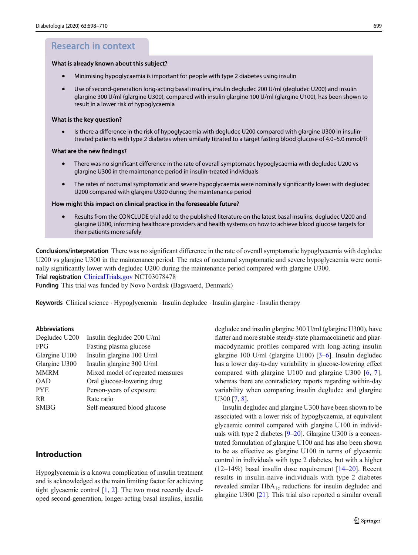## Research in context

#### What is already known about this subject?

- -Minimising hypoglycaemia is important for people with type 2 diabetes using insulin
- - Use of second-generation long-acting basal insulins, insulin degludec 200 U/ml (degludec U200) and insulin glargine 300 U/ml (glargine U300), compared with insulin glargine 100 U/ml (glargine U100), has been shown to result in a lower risk of hypoglycaemia

#### What is the key question?

- Is there a diference in the risk of hypoglycaemia with degludec U200 compared with glargine U300 in insulintreated patients with type 2 diabetes when similarly titrated to a target fasting blood glucose of 4.0–5.0 mmol/l?

#### What are the new findings?

- -There was no significant difference in the rate of overall symptomatic hypoglycaemia with degludec U200 vs glargine U300 in the maintenance period in insulin-treated individuals
- -The rates of nocturnal symptomatic and severe hypoglycaemia were nominally significantly lower with degludec U200 compared with glargine U300 during the maintenance period

#### How might this impact on clinical practice in the foreseeable future?

- Results from the CONCLUDE trial add to the published literature on the latest basal insulins, degludec U200 and glargine U300, informing healthcare providers and health systems on how to achieve blood glucose targets for their patients more safely

Conclusions/interpretation There was no significant difference in the rate of overall symptomatic hypoglycaemia with degludec U200 vs glargine U300 in the maintenance period. The rates of nocturnal symptomatic and severe hypoglycaemia were nominally significantly lower with degludec U200 during the maintenance period compared with glargine U300. Trial registration [ClinicalTrials.gov](http://clinicaltrials.gov) NCT03078478

Funding This trial was funded by Novo Nordisk (Bagsvaerd, Denmark)

Keywords Clinical science . Hypoglycaemia . Insulin degludec . Insulin glargine . Insulin therapy

#### Abbreviations

| Degludec U200 | Insulin degludec 200 U/ml        |
|---------------|----------------------------------|
| <b>FPG</b>    | Fasting plasma glucose           |
| Glargine U100 | Insulin glargine 100 U/ml        |
| Glargine U300 | Insulin glargine 300 U/ml        |
| <b>MMRM</b>   | Mixed model of repeated measures |
| <b>OAD</b>    | Oral glucose-lowering drug       |
| <b>PYE</b>    | Person-years of exposure         |
| <b>RR</b>     | Rate ratio                       |
| <b>SMBG</b>   | Self-measured blood glucose      |
|               |                                  |

## Introduction

Hypoglycaemia is a known complication of insulin treatment and is acknowledged as the main limiting factor for achieving tight glycaemic control [\[1](#page-11-0), [2\]](#page-11-0). The two most recently developed second-generation, longer-acting basal insulins, insulin degludec and insulin glargine 300 U/ml (glargine U300), have flatter and more stable steady-state pharmacokinetic and pharmacodynamic profiles compared with long-acting insulin glargine 100 U/ml (glargine U100) [\[3](#page-11-0)–[6\]](#page-11-0). Insulin degludec has a lower day-to-day variability in glucose-lowering effect compared with glargine U100 and glargine U300 [[6,](#page-11-0) [7](#page-11-0)], whereas there are contradictory reports regarding within-day variability when comparing insulin degludec and glargine U300 [[7,](#page-11-0) [8\]](#page-11-0).

Insulin degludec and glargine U300 have been shown to be associated with a lower risk of hypoglycaemia, at equivalent glycaemic control compared with glargine U100 in individuals with type 2 diabetes [[9](#page-11-0)–[20](#page-12-0)]. Glargine U300 is a concentrated formulation of glargine U100 and has also been shown to be as effective as glargine U100 in terms of glycaemic control in individuals with type 2 diabetes, but with a higher  $(12-14\%)$  $(12-14\%)$  $(12-14\%)$  basal insulin dose requirement [14–[20](#page-12-0)]. Recent results in insulin-naive individuals with type 2 diabetes revealed similar  $HbA_{1c}$  reductions for insulin degludec and glargine U300 [[21\]](#page-12-0). This trial also reported a similar overall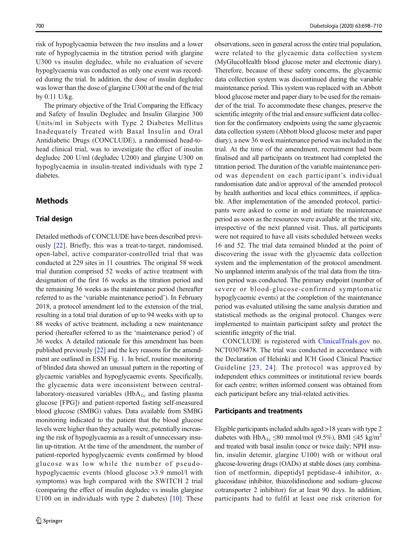risk of hypoglycaemia between the two insulins and a lower rate of hypoglycaemia in the titration period with glargine U300 vs insulin degludec, while no evaluation of severe hypoglycaemia was conducted as only one event was recorded during the trial. In addition, the dose of insulin degludec was lower than the dose of glargine U300 at the end of the trial by 0.11 U/kg.

The primary objective of the Trial Comparing the Efficacy and Safety of Insulin Degludec and Insulin Glargine 300 Units/ml in Subjects with Type 2 Diabetes Mellitus Inadequately Treated with Basal Insulin and Oral Antidiabetic Drugs (CONCLUDE), a randomised head-tohead clinical trial, was to investigate the effect of insulin degludec 200 U/ml (degludec U200) and glargine U300 on hypoglycaemia in insulin-treated individuals with type 2 diabetes.

## Methods

## Trial design

Detailed methods of CONCLUDE have been described previously [[22\]](#page-12-0). Briefly, this was a treat-to-target, randomised, open-label, active comparator-controlled trial that was conducted at 229 sites in 11 countries. The original 58 week trial duration comprised 52 weeks of active treatment with designation of the first 16 weeks as the titration period and the remaining 36 weeks as the maintenance period (hereafter referred to as the 'variable maintenance period'). In February 2018, a protocol amendment led to the extension of the trial, resulting in a total trial duration of up to 94 weeks with up to 88 weeks of active treatment, including a new maintenance period (hereafter referred to as the 'maintenance period') of 36 weeks. A detailed rationale for this amendment has been published previously [[22](#page-12-0)] and the key reasons for the amendment are outlined in ESM Fig. 1. In brief, routine monitoring of blinded data showed an unusual pattern in the reporting of glycaemic variables and hypoglycaemic events. Specifically, the glycaemic data were inconsistent between centrallaboratory-measured variables  $(HbA<sub>1c</sub>$  and fasting plasma glucose [FPG]) and patient-reported fasting self-measured blood glucose (SMBG) values. Data available from SMBG monitoring indicated to the patient that the blood glucose levels were higher than they actually were, potentially increasing the risk of hypoglycaemia as a result of unnecessary insulin up-titration. At the time of the amendment, the number of patient-reported hypoglycaemic events confirmed by blood glucose was low while the number of pseudohypoglycaemic events (blood glucose >3.9 mmol/l with symptoms) was high compared with the SWITCH 2 trial (comparing the effect of insulin degludec vs insulin glargine U100 on in individuals with type 2 diabetes) [[10\]](#page-11-0). These

observations, seen in general across the entire trial population, were related to the glycaemic data collection system (MyGlucoHealth blood glucose meter and electronic diary). Therefore, because of these safety concerns, the glycaemic data collection system was discontinued during the variable maintenance period. This system was replaced with an Abbott blood glucose meter and paper diary to be used for the remainder of the trial. To accommodate these changes, preserve the scientific integrity of the trial and ensure sufficient data collection for the confirmatory endpoints using the same glycaemic data collection system (Abbott blood glucose meter and paper diary), a new 36 week maintenance period was included in the trial. At the time of the amendment, recruitment had been finalised and all participants on treatment had completed the titration period. The duration of the variable maintenance period was dependent on each participant's individual randomisation date and/or approval of the amended protocol by health authorities and local ethics committees, if applicable. After implementation of the amended protocol, participants were asked to come in and initiate the maintenance period as soon as the resources were available at the trial site, irrespective of the next planned visit. Thus, all participants were not required to have all visits scheduled between weeks 16 and 52. The trial data remained blinded at the point of discovering the issue with the glycaemic data collection system and the implementation of the protocol amendment. No unplanned interim analysis of the trial data from the titration period was conducted. The primary endpoint (number of severe or blood-glucose-confirmed symptomatic hypoglycaemic events) at the completion of the maintenance period was evaluated utilising the same analysis duration and statistical methods as the original protocol. Changes were implemented to maintain participant safety and protect the scientific integrity of the trial.

CONCLUDE is registered with [ClinicalTrials.gov](http://clinicaltrials.gov) no. NCT03078478. The trial was conducted in accordance with the Declaration of Helsinki and ICH Good Clinical Practice Guideline [[23,](#page-12-0) [24](#page-12-0)]. The protocol was approved by independent ethics committees or institutional review boards for each centre; written informed consent was obtained from each participant before any trial-related activities.

#### Participants and treatments

Eligible participants included adults aged >18 years with type 2 diabetes with HbA<sub>1c</sub> ≤80 mmol/mol (9.5%), BMI ≤45 kg/m<sup>2</sup> and treated with basal insulin (once or twice daily; NPH insulin, insulin detemir, glargine U100) with or without oral glucose-lowering drugs (OADs) at stable doses (any combination of metformin, dipeptidyl peptidase-4 inhibitor,  $\alpha$ glucosidase inhibitor, thiazolidinedione and sodium–glucose cotransporter 2 inhibitor) for at least 90 days. In addition, participants had to fulfil at least one risk criterion for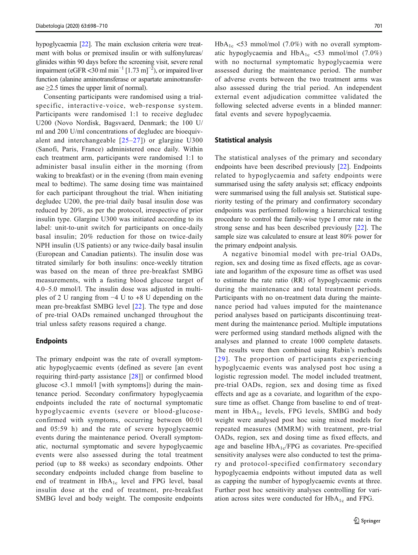<span id="page-4-0"></span>hypoglycaemia [\[22](#page-12-0)]. The main exclusion criteria were treatment with bolus or premixed insulin or with sulfonylureas/ glinides within 90 days before the screening visit, severe renal impairment (eGFR <30 ml min<sup>-1</sup> [1.73 m]<sup>-2</sup>), or impaired liver function (alanine aminotransferase or aspartate aminotransferase  $\geq$ 2.5 times the upper limit of normal).

Consenting participants were randomised using a trialspecific, interactive-voice, web-response system. Participants were randomised 1:1 to receive degludec U200 (Novo Nordisk, Bagsvaerd, Denmark; the 100 U/ ml and 200 U/ml concentrations of degludec are bioequivalent and interchangeable  $[25-27]$  $[25-27]$  $[25-27]$  $[25-27]$ ) or glargine U300 (Sanofi, Paris, France) administered once daily. Within each treatment arm, participants were randomised 1:1 to administer basal insulin either in the morning (from waking to breakfast) or in the evening (from main evening meal to bedtime). The same dosing time was maintained for each participant throughout the trial. When initiating degludec U200, the pre-trial daily basal insulin dose was reduced by 20%, as per the protocol, irrespective of prior insulin type. Glargine U300 was initiated according to its label: unit-to-unit switch for participants on once-daily basal insulin; 20% reduction for those on twice-daily NPH insulin (US patients) or any twice-daily basal insulin (European and Canadian patients). The insulin dose was titrated similarly for both insulins: once-weekly titration was based on the mean of three pre-breakfast SMBG measurements, with a fasting blood glucose target of 4.0–5.0 mmol/l. The insulin dose was adjusted in multiples of 2 U ranging from −4 U to +8 U depending on the mean pre-breakfast SMBG level [\[22](#page-12-0)]. The type and dose of pre-trial OADs remained unchanged throughout the trial unless safety reasons required a change.

#### Endpoints

The primary endpoint was the rate of overall symptomatic hypoglycaemic events (defined as severe [an event requiring third-party assistance [\[28](#page-12-0)]] or confirmed blood glucose <3.1 mmol/l [with symptoms]) during the maintenance period. Secondary confirmatory hypoglycaemia endpoints included the rate of nocturnal symptomatic hypoglycaemic events (severe or blood-glucoseconfirmed with symptoms, occurring between 00:01 and 05:59 h) and the rate of severe hypoglycaemic events during the maintenance period. Overall symptomatic, nocturnal symptomatic and severe hypoglycaemic events were also assessed during the total treatment period (up to 88 weeks) as secondary endpoints. Other secondary endpoints included change from baseline to end of treatment in HbA<sub>1c</sub> level and FPG level, basal insulin dose at the end of treatment, pre-breakfast SMBG level and body weight. The composite endpoints  $HbA_{1c}$  <53 mmol/mol (7.0%) with no overall symptomatic hypoglycaemia and  $HbA_{1c}$  <53 mmol/mol (7.0%) with no nocturnal symptomatic hypoglycaemia were assessed during the maintenance period. The number of adverse events between the two treatment arms was also assessed during the trial period. An independent external event adjudication committee validated the following selected adverse events in a blinded manner: fatal events and severe hypoglycaemia.

#### Statistical analysis

The statistical analyses of the primary and secondary endpoints have been described previously [\[22](#page-12-0)]. Endpoints related to hypoglycaemia and safety endpoints were summarised using the safety analysis set; efficacy endpoints were summarised using the full analysis set. Statistical superiority testing of the primary and confirmatory secondary endpoints was performed following a hierarchical testing procedure to control the family-wise type I error rate in the strong sense and has been described previously [\[22](#page-12-0)]. The sample size was calculated to ensure at least 80% power for the primary endpoint analysis.

A negative binomial model with pre-trial OADs, region, sex and dosing time as fixed effects, age as covariate and logarithm of the exposure time as offset was used to estimate the rate ratio (RR) of hypoglycaemic events during the maintenance and total treatment periods. Participants with no on-treatment data during the maintenance period had values imputed for the maintenance period analyses based on participants discontinuing treatment during the maintenance period. Multiple imputations were performed using standard methods aligned with the analyses and planned to create 1000 complete datasets. The results were then combined using Rubin's methods [[29\]](#page-12-0). The proportion of participants experiencing hypoglycaemic events was analysed post hoc using a logistic regression model. The model included treatment, pre-trial OADs, region, sex and dosing time as fixed effects and age as a covariate, and logarithm of the exposure time as offset. Change from baseline to end of treatment in  $HbA_{1c}$  levels, FPG levels, SMBG and body weight were analysed post hoc using mixed models for repeated measures (MMRM) with treatment, pre-trial OADs, region, sex and dosing time as fixed effects, and age and baseline  $HbA_{1c}/FPG$  as covariates. Pre-specified sensitivity analyses were also conducted to test the primary and protocol-specified confirmatory secondary hypoglycaemia endpoints without imputed data as well as capping the number of hypoglycaemic events at three. Further post hoc sensitivity analyses controlling for variation across sites were conducted for  $HbA_{1c}$  and FPG.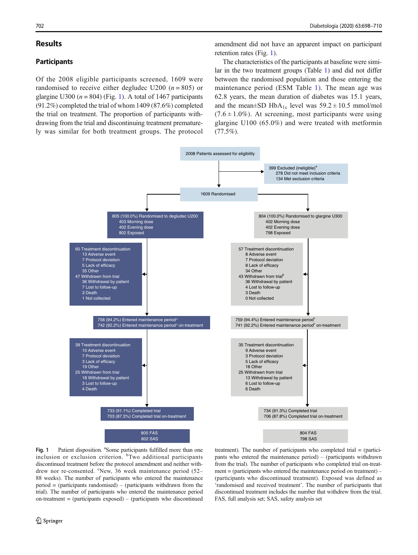### Results

## **Participants**

Of the 2008 eligible participants screened, 1609 were randomised to receive either degludec U200 ( $n = 805$ ) or glargine U300 ( $n = 804$ ) (Fig. [1\)](#page-4-0). A total of 1467 participants (91.2%) completed the trial of whom 1409 (87.6%) completed the trial on treatment. The proportion of participants withdrawing from the trial and discontinuing treatment prematurely was similar for both treatment groups. The protocol

amendment did not have an apparent impact on participant retention rates (Fig. [1\)](#page-4-0).

The characteristics of the participants at baseline were similar in the two treatment groups (Table 1) and did not differ between the randomised population and those entering the maintenance period (ESM Table 1). The mean age was 62.8 years, the mean duration of diabetes was 15.1 years, and the mean $\pm$ SD HbA<sub>1c</sub> level was 59.2  $\pm$  10.5 mmol/mol  $(7.6 \pm 1.0\%)$ . At screening, most participants were using glargine U100 (65.0%) and were treated with metformin  $(77.5\%)$ .



Fig. 1 Patient disposition. <sup>a</sup>Some participants fulfilled more than one inclusion or exclusion criterion. <sup>b</sup>Two additional participants discontinued treatment before the protocol amendment and neither withdrew nor re-consented. <sup>c</sup>New, 36 week maintenance period (52– 88 weeks). The number of participants who entered the maintenance period = (participants randomised) – (participants withdrawn from the trial). The number of participants who entered the maintenance period on-treatment  $=$  (participants exposed)  $=$  (participants who discontinued

treatment). The number of participants who completed trial = (participants who entered the maintenance period) – (participants withdrawn from the trial). The number of participants who completed trial on-treatment = (participants who entered the maintenance period on treatment) – (participants who discontinued treatment). Exposed was defined as 'randomised and received treatment'. The number of participants that discontinued treatment includes the number that withdrew from the trial. FAS, full analysis set; SAS, safety analysis set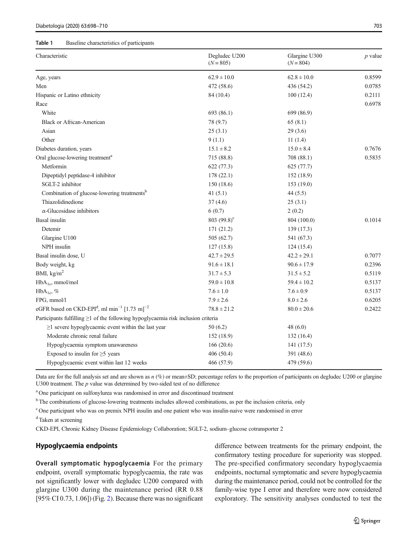#### <span id="page-6-0"></span>Table 1 Baseline characteristics of participants

| Characteristic                                                                          | Degludec U200<br>$(N = 805)$ | Glargine U300<br>$(N = 804)$ | $p$ value |
|-----------------------------------------------------------------------------------------|------------------------------|------------------------------|-----------|
| Age, years                                                                              | $62.9 \pm 10.0$              | $62.8 \pm 10.0$              | 0.8599    |
| Men                                                                                     | 472 (58.6)                   | 436 (54.2)                   | 0.0785    |
| Hispanic or Latino ethnicity                                                            | 84 (10.4)                    | 100(12.4)                    | 0.2111    |
| Race                                                                                    |                              |                              | 0.6978    |
| White                                                                                   | 693 (86.1)                   | 699 (86.9)                   |           |
| <b>Black or African-American</b>                                                        | 78 (9.7)                     | 65(8.1)                      |           |
| Asian                                                                                   | 25(3.1)                      | 29(3.6)                      |           |
| Other                                                                                   | 9(1.1)                       | 11(1.4)                      |           |
| Diabetes duration, years                                                                | $15.1 \pm 8.2$               | $15.0 \pm 8.4$               | 0.7676    |
| Oral glucose-lowering treatment <sup>a</sup>                                            | 715 (88.8)                   | 708 (88.1)                   | 0.5835    |
| Metformin                                                                               | 622 (77.3)                   | 625 (77.7)                   |           |
| Dipeptidyl peptidase-4 inhibitor                                                        | 178(22.1)                    | 152 (18.9)                   |           |
| SGLT-2 inhibitor                                                                        | 150 (18.6)                   | 153(19.0)                    |           |
| Combination of glucose-lowering treatments <sup>b</sup>                                 | 41(5.1)                      | 44 (5.5)                     |           |
| Thiazolidinedione                                                                       | 37(4.6)                      | 25(3.1)                      |           |
| $\alpha$ -Glucosidase inhibitors                                                        | 6(0.7)                       | 2(0.2)                       |           |
| Basal insulin                                                                           | 803 $(99.8)^{\circ}$         | 804 (100.0)                  | 0.1014    |
| Detemir                                                                                 | 171 (21.2)                   | 139 (17.3)                   |           |
| Glargine U100                                                                           | 505 (62.7)                   | 541 (67.3)                   |           |
| NPH insulin                                                                             | 127(15.8)                    | 124(15.4)                    |           |
| Basal insulin dose, U                                                                   | $42.7 \pm 29.5$              | $42.2 \pm 29.1$              | 0.7077    |
| Body weight, kg                                                                         | $91.6 \pm 18.1$              | $90.6 \pm 17.9$              | 0.2396    |
| BMI, $kg/m2$                                                                            | $31.7 \pm 5.3$               | $31.5 \pm 5.2$               | 0.5119    |
| $HbA_{1c}$ , mmol/mol                                                                   | $59.0 \pm 10.8$              | $59.4 \pm 10.2$              | 0.5137    |
| $HbA_{1c}$ , %                                                                          | $7.6 \pm 1.0$                | $7.6 \pm 0.9$                | 0.5137    |
| FPG, mmol/l                                                                             | $7.9 \pm 2.6$                | $8.0 \pm 2.6$                | 0.6205    |
| eGFR based on CKD-EPI <sup>d</sup> , ml min <sup>-1</sup> [1.73 m] <sup>-2</sup>        | $78.8 \pm 21.2$              | $80.0 \pm 20.6$              | 0.2422    |
| Participants fulfilling $\geq 1$ of the following hypoglycaemia risk inclusion criteria |                              |                              |           |
| $\geq$ 1 severe hypoglycaemic event within the last year                                | 50 (6.2)                     | 48 (6.0)                     |           |
| Moderate chronic renal failure                                                          | 152 (18.9)                   | 132(16.4)                    |           |
| Hypoglycaemia symptom unawareness                                                       | 166 (20.6)                   | 141(17.5)                    |           |
| Exposed to insulin for $\geq$ 5 years                                                   | 406 (50.4)                   | 391 (48.6)                   |           |
| Hypoglycaemic event within last 12 weeks                                                | 466 (57.9)                   | 479 (59.6)                   |           |

Data are for the full analysis set and are shown as  $n$  (%) or mean±SD; percentage refers to the proportion of participants on degludec U200 or glargine U300 treatment. The  $p$  value was determined by two-sided test of no difference

<sup>a</sup> One participant on sulfonylurea was randomised in error and discontinued treatment

<sup>b</sup> The combinations of glucose-lowering treatments includes allowed combinations, as per the inclusion criteria, only

<sup>c</sup> One participant who was on premix NPH insulin and one patient who was insulin-naive were randomised in error

<sup>d</sup> Taken at screening

CKD-EPI, Chronic Kidney Disease Epidemiology Collaboration; SGLT-2, sodium–glucose cotransporter 2

#### Hypoglycaemia endpoints

Overall symptomatic hypoglycaemia For the primary endpoint, overall symptomatic hypoglycaemia, the rate was not significantly lower with degludec U200 compared with glargine U300 during the maintenance period (RR 0.88 [95% CI 0.73, 1.06]) (Fig. 2). Because there was no significant difference between treatments for the primary endpoint, the confirmatory testing procedure for superiority was stopped. The pre-specified confirmatory secondary hypoglycaemia endpoints, nocturnal symptomatic and severe hypoglycaemia during the maintenance period, could not be controlled for the family-wise type I error and therefore were now considered exploratory. The sensitivity analyses conducted to test the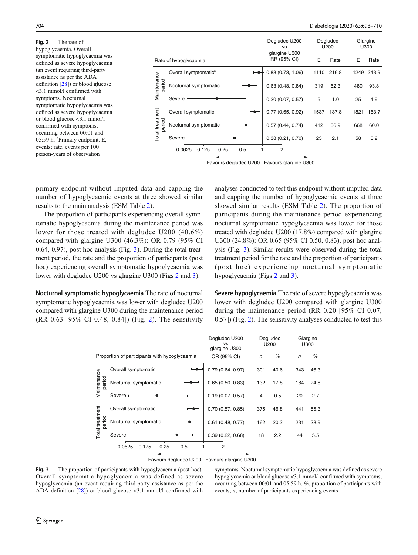<span id="page-7-0"></span>Fig. 2 The rate of hypoglycaemia. Overall symptomatic hypoglycaemia was defined as severe hypoglycaemia (an event requiring third-party assistance as per the ADA definition [[28\]](#page-12-0)) or blood glucose <3.1 mmol/l confirmed with symptoms. Nocturnal symptomatic hypoglycaemia was defined as severe hypoglycaemia or blood glucose <3.1 mmol/l confirmed with symptoms, occurring between 00:01 and 05:59 h. <sup>a</sup>Primary endpoint. E, events; rate, events per 100 person-years of observation

|                           |                                  | Degludec U200<br><b>VS</b>   | Degludec<br>U200 |       | Glargine<br>U300 |       |
|---------------------------|----------------------------------|------------------------------|------------------|-------|------------------|-------|
| Rate of hypoglycaemia     |                                  | glargine U300<br>RR (95% CI) | Е                | Rate  | E                | Rate  |
| Maintenance<br>period     | Overall symptomatic <sup>a</sup> | 0.88(0.73, 1.06)             | 1110             | 216.8 | 1249             | 243.9 |
|                           | Nocturnal symptomatic            | 0.63(0.48, 0.84)             | 319              | 62.3  | 480              | 93.8  |
|                           | Severe '                         | 0.20(0.07, 0.57)             | 5                | 1.0   | 25               | 4.9   |
| Total treatment<br>period | Overall symptomatic              | 0.77(0.65, 0.92)             | 1537             | 137.8 | 1821             | 163.7 |
|                           | Nocturnal symptomatic            | 0.57(0.44, 0.74)             | 412              | 36.9  | 668              | 60.0  |
|                           | Severe                           | 0.38(0.21, 0.70)             | 23               | 2.1   | 58               | 5.2   |
|                           | 0.25<br>0.0625<br>0.125<br>0.5   | 2                            |                  |       |                  |       |

Favours degludec U200 Favours glargine U300

primary endpoint without imputed data and capping the number of hypoglycaemic events at three showed similar results to the main analysis (ESM Table 2).

The proportion of participants experiencing overall symptomatic hypoglycaemia during the maintenance period was lower for those treated with degludec U200 (40.6%) compared with glargine U300 (46.3%): OR 0.79 (95% CI 0.64, 0.97), post hoc analysis (Fig. [3](#page-6-0)). During the total treatment period, the rate and the proportion of participants (post hoc) experiencing overall symptomatic hypoglycaemia was lower with degludec U200 vs glargine U300 (Figs [2](#page-6-0) and [3](#page-6-0)).

Nocturnal symptomatic hypoglycaemia The rate of nocturnal symptomatic hypoglycaemia was lower with degludec U200 compared with glargine U300 during the maintenance period (RR 0.63 [95% CI 0.48, 0.84]) (Fig. [2\)](#page-6-0). The sensitivity

analyses conducted to test this endpoint without imputed data and capping the number of hypoglycaemic events at three showed similar results (ESM Table 2). The proportion of participants during the maintenance period experiencing nocturnal symptomatic hypoglycaemia was lower for those treated with degludec U200 (17.8%) compared with glargine U300 (24.8%): OR 0.65 (95% CI 0.50, 0.83), post hoc analysis (Fig. [3\)](#page-6-0). Similar results were observed during the total treatment period for the rate and the proportion of participants (post hoc) experiencing nocturnal symptomatic hypoglycaemia (Figs [2](#page-6-0) and [3\)](#page-6-0).

Severe hypoglycaemia The rate of severe hypoglycaemia was lower with degludec U200 compared with glargine U300 during the maintenance period (RR 0.20 [95% CI 0.07, 0.57]) (Fig. [2](#page-6-0)). The sensitivity analyses conducted to test this

|                           |                                               | Degludec U200<br>vs<br>glargine U300 |                | Degludec<br>U200 |            | Glargine<br>U300 |
|---------------------------|-----------------------------------------------|--------------------------------------|----------------|------------------|------------|------------------|
|                           | Proportion of participants with hypoglycaemia | OR (95% CI)                          | $\sqrt{n}$     | $\%$             | $\sqrt{n}$ | $\%$             |
| Maintenance<br>period     | Overall symptomatic                           | 0.79(0.64, 0.97)                     | 301            | 40.6             | 343        | 46.3             |
|                           | Nocturnal symptomatic                         | 0.65(0.50, 0.83)                     | 132            | 17.8             | 184        | 24.8             |
|                           | Severe +                                      | 0.19(0.07, 0.57)                     | $\overline{4}$ | 0.5              | 20         | 2.7              |
| Total treatment<br>period | Overall symptomatic                           | 0.70(0.57, 0.85)                     | 375            | 46.8             | 441        | 55.3             |
|                           | Nocturnal symptomatic                         | $0.61$ (0.48, 0.77)                  | 162            | 20.2             | 231        | 28.9             |
|                           | Severe                                        | 0.39(0.22, 0.68)                     | 18             | 2.2              | 44         | 5.5              |
|                           | 0.0625<br>0.25<br>0.5<br>0.125                | 2                                    |                |                  |            |                  |

Favours degludec U200 Favours glargine U300

Fig. 3 The proportion of participants with hypoglycaemia (post hoc). Overall symptomatic hypoglycaemia was defined as severe hypoglycaemia (an event requiring third-party assistance as per the ADA definition [\[28\]](#page-12-0)) or blood glucose <3.1 mmol/l confirmed with

symptoms. Nocturnal symptomatic hypoglycaemia was defined as severe hypoglycaemia or blood glucose <3.1 mmol/l confirmed with symptoms, occurring between 00:01 and 05:59 h. %, proportion of participants with events; n, number of participants experiencing events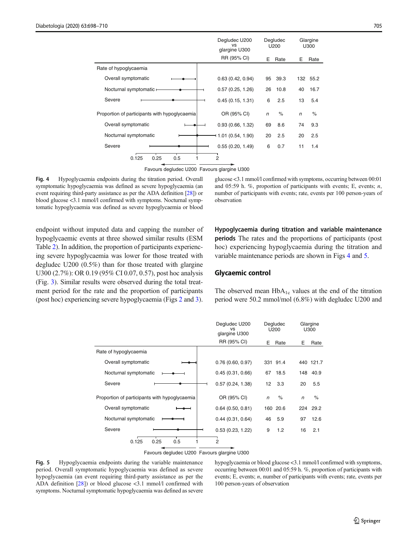<span id="page-8-0"></span>

|                                               | Degludec U200<br>vs<br>glargine U300 | Degludec<br>U200 |      | Glargine<br>U300 |          |
|-----------------------------------------------|--------------------------------------|------------------|------|------------------|----------|
|                                               | RR (95% CI)                          | Е                | Rate | Е                | Rate     |
| Rate of hypoglycaemia                         |                                      |                  |      |                  |          |
| Overall symptomatic                           | 0.63(0.42, 0.94)                     | 95               | 39.3 |                  | 132 55.2 |
| Nocturnal symptomatic -                       | 0.57(0.25, 1.26)                     | 26               | 10.8 | 40               | 16.7     |
| Severe                                        | 0.45(0.15, 1.31)                     | 6                | 2.5  | 13               | 5.4      |
| Proportion of participants with hypoglycaemia | OR (95% CI)                          | n                | $\%$ | $\sqrt{n}$       | $\%$     |
| Overall symptomatic                           | 0.93(0.66, 1.32)                     | 69               | 8.6  | 74               | 9.3      |
| Nocturnal symptomatic                         | 1.01 (0.54, 1.90)                    | 20               | 2.5  | 20               | 2.5      |
| Severe                                        | 0.55(0.20, 1.49)                     | 6                | 0.7  | 11               | 1.4      |
| 0.125<br>0.25<br>0.5                          | 2                                    |                  |      |                  |          |

Favours degludec U200 Favours glargine U300

Fig. 4 Hypoglycaemia endpoints during the titration period. Overall symptomatic hypoglycaemia was defined as severe hypoglycaemia (an event requiring third-party assistance as per the ADA definition [\[28\]](#page-12-0)) or blood glucose <3.1 mmol/l confirmed with symptoms. Nocturnal symptomatic hypoglycaemia was defined as severe hypoglycaemia or blood glucose <3.1 mmol/l confirmed with symptoms, occurring between 00:01 and 05:59 h.  $\%$ , proportion of participants with events; E, events; n, number of participants with events; rate, events per 100 person-years of observation

endpoint without imputed data and capping the number of hypoglycaemic events at three showed similar results (ESM Table 2). In addition, the proportion of participants experiencing severe hypoglycaemia was lower for those treated with degludec U200 (0.5%) than for those treated with glargine U300 (2.7%): OR 0.19 (95% CI 0.07, 0.57), post hoc analysis (Fig. [3](#page-6-0)). Similar results were observed during the total treatment period for the rate and the proportion of participants (post hoc) experiencing severe hypoglycaemia (Figs [2](#page-6-0) and [3\)](#page-6-0).

Hypoglycaemia during titration and variable maintenance periods The rates and the proportions of participants (post hoc) experiencing hypoglycaemia during the titration and variable maintenance periods are shown in Figs [4](#page-7-0) and [5.](#page-7-0)

## Glycaemic control

The observed mean  $HbA_{1c}$  values at the end of the titration period were 50.2 mmol/mol (6.8%) with degludec U200 and

|                                               | Degludec U200<br><b>VS</b><br>glargine U300 | Degludec<br>U200       | Glargine<br>U300 |
|-----------------------------------------------|---------------------------------------------|------------------------|------------------|
|                                               | RR (95% CI)                                 | E<br>Rate              | E<br>Rate        |
| Rate of hypoglycaemia                         |                                             |                        |                  |
| Overall symptomatic                           | 0.76(0.60, 0.97)                            | 331 91.4               | 440 121.7        |
| Nocturnal symptomatic                         | 0.45(0.31, 0.66)                            | 67<br>18.5             | 148 40.9         |
| Severe                                        | 0.57(0.24, 1.38)                            | 3.3<br>12 <sup>2</sup> | 5.5<br>20        |
| Proportion of participants with hypoglycaemia | OR (95% CI)                                 | $\%$<br>$\mathsf{n}$   | $\%$<br>n        |
| Overall symptomatic                           | $0.64$ (0.50, 0.81)                         | 160 20.6               | 224 29.2         |
| Nocturnal symptomatic                         | 0.44(0.31, 0.64)                            | 5.9<br>46              | 12.6<br>97       |
| Severe                                        | 0.53(0.23, 1.22)                            | 9<br>1.2               | 16<br>2.1        |
| 0.25<br>0.125<br>0.5                          | 2                                           |                        |                  |



Fig. 5 Hypoglycaemia endpoints during the variable maintenance period. Overall symptomatic hypoglycaemia was defined as severe hypoglycaemia (an event requiring third-party assistance as per the ADA definition [\[28\]](#page-12-0)) or blood glucose <3.1 mmol/l confirmed with symptoms. Nocturnal symptomatic hypoglycaemia was defined as severe hypoglycaemia or blood glucose <3.1 mmol/l confirmed with symptoms, occurring between 00:01 and 05:59 h. %, proportion of participants with events; E, events; *n*, number of participants with events; rate, events per 100 person-years of observation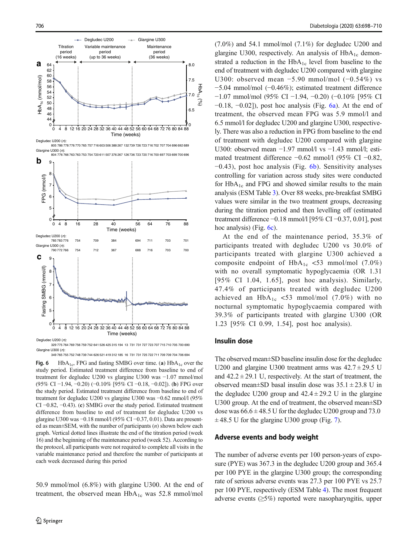

329 775 764 769 756 759 752 641 526 425 315 194 13 731 731 727 723 707 715 710 705 700 690 Glargine U300 (n): 349 765 755 752 748 739 744 626 521 419 312 185 16 731 731 725 722 711 709 709 704 706 694

Fig. 6 HbA<sub>1c</sub>, FPG and fasting SMBG over time. (a)  $HbA_{1c}$  over the study period. Estimated treatment difference from baseline to end of treatment for degludec U200 vs glargine U300 was −1.07 mmol/mol (95% CI −1.94, −0.20) (−0.10% [95% CI −0.18, −0.02]). (b) FPG over the study period. Estimated treatment difference from baseline to end of treatment for degludec U200 vs glargine U300 was −0.62 mmol/l (95% CI −0.82, −0.43). (c) SMBG over the study period. Estimated treatment difference from baseline to end of treatment for degludec U200 vs glargine U300 was −0.18 mmol/l (95% CI −0.37, 0.01). Data are presented as mean $\pm$ SEM, with the number of participants  $(n)$  shown below each graph. Vertical dotted lines illustrate the end of the titration period (week 16) and the beginning of the maintenance period (week 52). According to the protocol, all participants were not required to complete all visits in the variable maintenance period and therefore the number of participants at each week decreased during this period

50.9 mmol/mol (6.8%) with glargine U300. At the end of treatment, the observed mean  $HbA_{1c}$  was 52.8 mmol/mol

 $(7.0\%)$  and 54.1 mmol/mol  $(7.1\%)$  for degludec U200 and glargine U300, respectively. An analysis of  $HbA_{1c}$  demonstrated a reduction in the  $HbA_{1c}$  level from baseline to the end of treatment with degludec U200 compared with glargine U300: observed mean −5.90 mmol/mol (−0.54%) vs −5.04 mmol/mol (−0.46%); estimated treatment difference −1.07 mmol/mol (95% CI −1.94, −0.20) (−0.10% [95% CI  $-0.18$ ,  $-0.02$ ]), post hoc analysis (Fig. [6a](#page-8-0)). At the end of treatment, the observed mean FPG was 5.9 mmol/l and 6.5 mmol/l for degludec U200 and glargine U300, respectively. There was also a reduction in FPG from baseline to the end of treatment with degludec U200 compared with glargine U300: observed mean −1.97 mmol/l vs −1.43 mmol/l; estimated treatment difference −0.62 mmol/l (95% CI −0.82,  $-0.43$ ), post hoc analysis (Fig. [6b](#page-8-0)). Sensitivity analyses controlling for variation across study sites were conducted for  $HbA_{1c}$  and FPG and showed similar results to the main analysis (ESM Table 3). Over 88 weeks, pre-breakfast SMBG values were similar in the two treatment groups, decreasing during the titration period and then levelling off (estimated treatment difference −0.18 mmol/l [95% CI −0.37, 0.01], post hoc analysis) (Fig. [6c\)](#page-8-0).

At the end of the maintenance period, 35.3% of participants treated with degludec U200 vs 30.0% of participants treated with glargine U300 achieved a composite endpoint of  $HbA_{1c}$  <53 mmol/mol (7.0%) with no overall symptomatic hypoglycaemia (OR 1.31 [95% CI 1.04, 1.65], post hoc analysis). Similarly, 47.4% of participants treated with degludec U200 achieved an  $HbA_{1c}$  <53 mmol/mol (7.0%) with no nocturnal symptomatic hypoglycaemia compared with 39.3% of participants treated with glargine U300 (OR 1.23 [95% CI 0.99, 1.54], post hoc analysis).

#### Insulin dose

The observed mean±SD baseline insulin dose for the degludec U200 and glargine U300 treatment arms was  $42.7 \pm 29.5$  U and  $42.2 \pm 29.1$  U, respectively. At the start of treatment, the observed mean $\pm$ SD basal insulin dose was  $35.1 \pm 23.8$  U in the degludec U200 group and  $42.4 \pm 29.2$  U in the glargine U300 group. At the end of treatment, the observed mean±SD dose was  $66.6 \pm 48.5$  U for the degludec U200 group and 73.0  $\pm$  48.5 U for the glargine U300 group (Fig. 7).

#### Adverse events and body weight

The number of adverse events per 100 person-years of exposure (PYE) was 367.3 in the degludec U200 group and 365.4 per 100 PYE in the glargine U300 group; the corresponding rate of serious adverse events was 27.3 per 100 PYE vs 25.7 per 100 PYE, respectively (ESM Table 4). The most frequent adverse events (≥5%) reported were nasopharyngitis, upper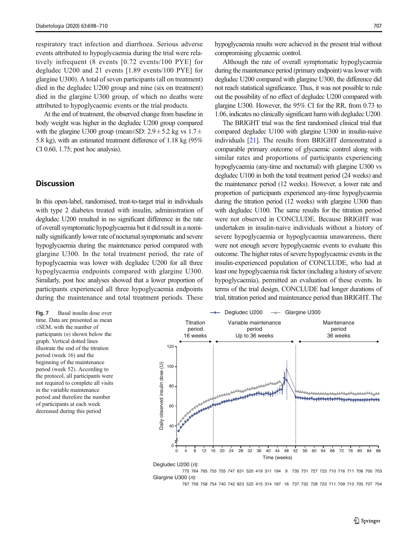respiratory tract infection and diarrhoea. Serious adverse events attributed to hypoglycaemia during the trial were relatively infrequent (8 events [0.72 events/100 PYE] for degludec U200 and 21 events [1.89 events/100 PYE] for glargine U300). A total of seven participants (all on treatment) died in the degludec U200 group and nine (six on treatment) died in the glargine U300 group, of which no deaths were attributed to hypoglycaemic events or the trial products.

At the end of treatment, the observed change from baseline in body weight was higher in the degludec U200 group compared with the glargine U300 group (mean $\pm$ SD: 2.9  $\pm$  5.2 kg vs 1.7  $\pm$ 5.8 kg), with an estimated treatment difference of 1.18 kg (95% CI 0.60, 1.75; post hoc analysis).

## **Discussion**

In this open-label, randomised, treat-to-target trial in individuals with type 2 diabetes treated with insulin, administration of degludec U200 resulted in no significant difference in the rate of overall symptomatic hypoglycaemia but it did result in a nominally significantly lower rate of nocturnal symptomatic and severe hypoglycaemia during the maintenance period compared with glargine U300. In the total treatment period, the rate of hypoglycaemia was lower with degludec U200 for all three hypoglycaemia endpoints compared with glargine U300. Similarly, post hoc analyses showed that a lower proportion of participants experienced all three hypoglycaemia endpoints during the maintenance and total treatment periods. These

time. Data are presented as mean ±SEM, with the number of participants  $(n)$  shown below the graph. Vertical dotted lines illustrate the end of the titration period (week 16) and the beginning of the maintenance period (week 52). According to the protocol, all participants were not required to complete all visits in the variable maintenance period and therefore the number of participants at each week decreased during this period

hypoglycaemia results were achieved in the present trial without compromising glycaemic control.

Although the rate of overall symptomatic hypoglycaemia during the maintenance period (primary endpoint) was lower with degludec U200 compared with glargine U300, the difference did not reach statistical significance. Thus, it was not possible to rule out the possibility of no effect of degludec U200 compared with glargine U300. However, the 95% CI for the RR, from 0.73 to 1.06, indicates no clinically significant harm with degludec U200.

The BRIGHT trial was the first randomised clinical trial that compared degludec U100 with glargine U300 in insulin-naive individuals [[21](#page-12-0)]. The results from BRIGHT demonstrated a comparable primary outcome of glycaemic control along with similar rates and proportions of participants experiencing hypoglycaemia (any-time and nocturnal) with glargine U300 vs degludec U100 in both the total treatment period (24 weeks) and the maintenance period (12 weeks). However, a lower rate and proportion of participants experienced any-time hypoglycaemia during the titration period (12 weeks) with glargine U300 than with degludec U100. The same results for the titration period were not observed in CONCLUDE. Because BRIGHT was undertaken in insulin-naive individuals without a history of severe hypoglycaemia or hypoglycaemia unawareness, there were not enough severe hypoglycaemic events to evaluate this outcome. The higher rates of severe hypoglycaemic events in the insulin-experienced population of CONCLUDE, who had at least one hypoglycaemia risk factor (including a history of severe hypoglycaemia), permitted an evaluation of these events. In terms of the trial design, CONCLUDE had longer durations of trial, titration period and maintenance period than BRIGHT. The



Glargine U300 (n): 775 764 765 755 755 747 631 520 419 311 194 9 735 731 727 723 710 716 711 706 700 703

767 756 758 754 740 742 623 522 415 314 187 16 737 732 728 723 711 709 710 705 707 704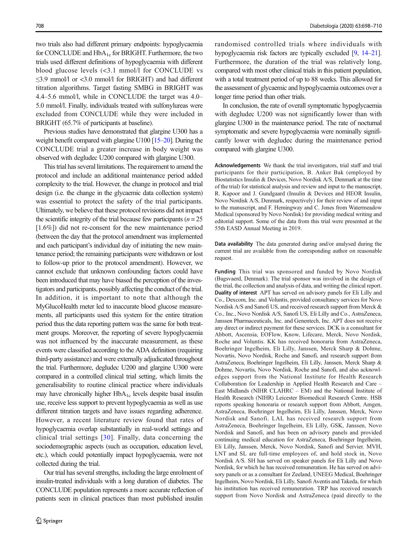<span id="page-11-0"></span>two trials also had different primary endpoints: hypoglycaemia for CONCLUDE and HbA<sub>1c</sub> for BRIGHT. Furthermore, the two trials used different definitions of hypoglycaemia with different blood glucose levels (<3.1 mmol/l for CONCLUDE vs ≤3.9 mmol/l or <3.0 mmol/l for BRIGHT) and had different titration algorithms. Target fasting SMBG in BRIGHT was 4.4–5.6 mmol/l, while in CONCLUDE the target was 4.0– 5.0 mmol/l. Finally, individuals treated with sulfonylureas were excluded from CONCLUDE while they were included in BRIGHT (65.7% of participants at baseline).

Previous studies have demonstrated that glargine U300 has a weight benefit compared with glargine U100 [15–[20](#page-12-0)]. During the CONCLUDE trial a greater increase in body weight was observed with degludec U200 compared with glargine U300.

This trial has several limitations. The requirement to amend the protocol and include an additional maintenance period added complexity to the trial. However, the change in protocol and trial design (i.e. the change in the glycaemic data collection system) was essential to protect the safety of the trial participants. Ultimately, we believe that these protocol revisions did not impact the scientific integrity of the trial because few participants ( $n = 25$ ) [1.6%]) did not re-consent for the new maintenance period (between the day that the protocol amendment was implemented and each participant's individual day of initiating the new maintenance period; the remaining participants were withdrawn or lost to follow-up prior to the protocol amendment). However, we cannot exclude that unknown confounding factors could have been introduced that may have biased the perception of the investigators and participants, possibly affecting the conduct of the trial. In addition, it is important to note that although the MyGlucoHealth meter led to inaccurate blood glucose measurements, all participants used this system for the entire titration period thus the data reporting pattern was the same for both treatment groups. Moreover, the reporting of severe hypoglycaemia was not influenced by the inaccurate measurement, as these events were classified according to the ADA definition (requiring third-party assistance) and were externally adjudicated throughout the trial. Furthermore, degludec U200 and glargine U300 were compared in a controlled clinical trial setting, which limits the generalisability to routine clinical practice where individuals may have chronically higher  $HbA_{1c}$  levels despite basal insulin use, receive less support to prevent hypoglycaemia as well as use different titration targets and have issues regarding adherence. However, a recent literature review found that rates of hypoglycaemia overlap substantially in real-world settings and clinical trial settings [[30\]](#page-12-0). Finally, data concerning the sociodemographic aspects (such as occupation, education level, etc.), which could potentially impact hypoglycaemia, were not collected during the trial.

Our trial has several strengths, including the large enrolment of insulin-treated individuals with a long duration of diabetes. The CONCLUDE population represents a more accurate reflection of patients seen in clinical practices than most published insulin

randomised controlled trials where individuals with hypoglycaemia risk factors are typically excluded [9, 14–[21\]](#page-12-0). Furthermore, the duration of the trial was relatively long, compared with most other clinical trials in this patient population, with a total treatment period of up to 88 weeks. This allowed for the assessment of glycaemic and hypoglycaemia outcomes over a longer time period than other trials.

In conclusion, the rate of overall symptomatic hypoglycaemia with degludec U200 was not significantly lower than with glargine U300 in the maintenance period. The rate of nocturnal symptomatic and severe hypoglycaemia were nominally significantly lower with degludec during the maintenance period compared with glargine U300.

Acknowledgements We thank the trial investigators, trial staff and trial participants for their participation, B. Anker Bak (employed by Biostatistics Insulin & Devices, Novo Nordisk A/S, Denmark at the time of the trial) for statistical analysis and review and input to the manuscript, R. Kapoor and J. Gundgaard (Insulin & Devices and HEOR Insulin, Novo Nordisk A/S, Denmark, respectively) for their review of and input to the manuscript, and F. Hemingway and C. Jones from Watermeadow Medical (sponsored by Novo Nordisk) for providing medical writing and editorial support. Some of the data from this trial were presented at the 55th EASD Annual Meeting in 2019.

Data availability The data generated during and/or analysed during the current trial are available from the corresponding author on reasonable request.

Funding This trial was sponsored and funded by Novo Nordisk (Bagsvaerd, Denmark). The trial sponsor was involved in the design of the trial, the collection and analysis of data, and writing the clinical report. Duality of interest APT has served on advisory panels for Eli Lilly and Co., Dexcom, Inc. and Voluntis, provided consultancy services for Novo Nordisk A/S and Sanofi US, and received research support from Merck & Co., Inc., Novo Nordisk A/S, Sanofi US, Eli Lilly and Co., AstraZeneca, Janssen Pharmaceuticals, Inc. and Genentech, Inc. APT does not receive any direct or indirect payment for these services. DCK is a consultant for Abbott, Ascensia, EOFlow, Know, Lifecare, Merck, Novo Nordisk, Roche and Voluntis. KK has received honoraria from AstraZeneca, Boehringer Ingelheim, Eli Lilly, Janssen, Merck Sharp & Dohme, Novartis, Novo Nordisk, Roche and Sanofi, and research support from AstraZeneca, Boehringer Ingelheim, Eli Lilly, Janssen, Merck Sharp & Dohme, Novartis, Novo Nordisk, Roche and Sanofi, and also acknowledges support from the National Institute for Health Research Collaboration for Leadership in Applied Health Research and Care – East Midlands (NIHR CLAHRC – EM) and the National Institute of Health Research (NIHR) Leicester Biomedical Research Centre. HSB reports speaking honoraria or research support from Abbott, Amgen, AstraZeneca, Boehringer Ingelheim, Eli Lilly, Janssen, Merck, Novo Nordisk and Sanofi. LAL has received research support from AstraZeneca, Boehringer Ingelheim, Eli Lilly, GSK, Janssen, Novo Nordisk and Sanofi, and has been on advisory panels and provided continuing medical education for AstraZeneca, Boehringer Ingelheim, Eli Lilly, Janssen, Merck, Novo Nordisk, Sanofi and Servier. MVH, LNT and SL are full-time employees of, and hold stock in, Novo Nordisk A/S. SH has served on speaker panels for Eli Lilly and Novo Nordisk, for which he has received remuneration. He has served on advisory panels or as a consultant for Zeeland, UNEEG Medical, Boehringer Ingelheim, Novo Nordisk, Eli Lilly, Sanofi Aventis and Takeda, for which his institution has received remuneration. TRP has received research support from Novo Nordisk and AstraZeneca (paid directly to the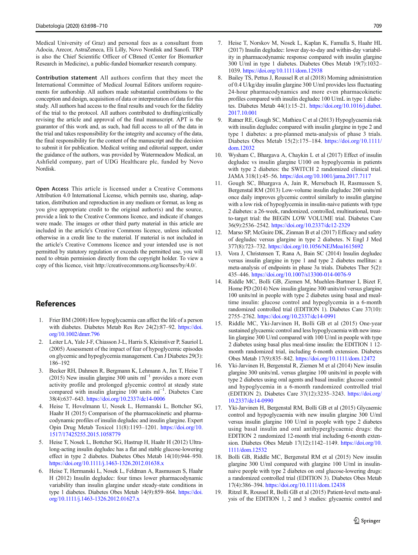<span id="page-12-0"></span>Medical University of Graz) and personal fees as a consultant from Adocia, Arecor, AstraZeneca, Eli Lilly, Novo Nordisk and Sanofi. TRP is also the Chief Scientific Officer of CBmed (Center for Biomarker Research in Medicine), a public-funded biomarker research company.

Contribution statement All authors confirm that they meet the International Committee of Medical Journal Editors uniform requirements for authorship. All authors made substantial contributions to the conception and design, acquisition of data or interpretation of data for this study. All authors had access to the final results and vouch for the fidelity of the trial to the protocol. All authors contributed to drafting/critically revising the article and approval of the final manuscript. APT is the guarantor of this work and, as such, had full access to all of the data in the trial and takes responsibility for the integrity and accuracy of the data, the final responsibility for the content of the manuscript and the decision to submit it for publication. Medical writing and editorial support, under the guidance of the authors, was provided by Watermeadow Medical, an Ashfield company, part of UDG Healthcare plc, funded by Novo Nordisk.

Open Access This article is licensed under a Creative Commons Attribution 4.0 International License, which permits use, sharing, adaptation, distribution and reproduction in any medium or format, as long as you give appropriate credit to the original author(s) and the source, provide a link to the Creative Commons licence, and indicate if changes were made. The images or other third party material in this article are included in the article's Creative Commons licence, unless indicated otherwise in a credit line to the material. If material is not included in the article's Creative Commons licence and your intended use is not permitted by statutory regulation or exceeds the permitted use, you will need to obtain permission directly from the copyright holder. To view a copy of this licence, visit http://creativecommons.org/licenses/by/4.0/.

## References

- 1. Frier BM (2008) How hypoglycaemia can affect the life of a person with diabetes. Diabetes Metab Res Rev 24(2):87–92. [https://doi.](https://doi.org/10.1002/dmrr.796) [org/10.1002/dmrr.796](https://doi.org/10.1002/dmrr.796)
- 2. Leiter LA, Yale J-F, Chiasson J-L, Harris S, Kleinstiver P, Sauriol L (2005) Assessment of the impact of fear of hypoglycemic episodes on glycemic and hypoglycemia management. Can J Diabetes 29(3): 186–192
- 3. Becker RH, Dahmen R, Bergmann K, Lehmann A, Jax T, Heise T (2015) New insulin glargine 300 units ml−<sup>1</sup> provides a more even activity profile and prolonged glycemic control at steady state compared with insulin glargine 100 units ml−<sup>1</sup> . Diabetes Care 38(4):637–643. <https://doi.org/10.2337/dc14-0006>
- 4. Heise T, Hovelmann U, Nosek L, Hermanski L, Bottcher SG, Haahr H (2015) Comparison of the pharmacokinetic and pharmacodynamic profiles of insulin degludec and insulin glargine. Expert Opin Drug Metab Toxicol 11(8):1193–1201. [https://doi.org/10.](https://doi.org/10.1517/17425255.2015.1058779) [1517/17425255.2015.1058779](https://doi.org/10.1517/17425255.2015.1058779)
- 5. Heise T, Nosek L, Bottcher SG, Hastrup H, Haahr H (2012) Ultralong-acting insulin degludec has a flat and stable glucose-lowering effect in type 2 diabetes. Diabetes Obes Metab 14(10):944–950. <https://doi.org/10.1111/j.1463-1326.2012.01638.x>
- 6. Heise T, Hermanski L, Nosek L, Feldman A, Rasmussen S, Haahr H (2012) Insulin degludec: four times lower pharmacodynamic variability than insulin glargine under steady-state conditions in type 1 diabetes. Diabetes Obes Metab 14(9):859–864. [https://doi.](https://doi.org/10.1111/j.1463-1326.2012.01627.x) [org/10.1111/j.1463-1326.2012.01627.x](https://doi.org/10.1111/j.1463-1326.2012.01627.x)
- 7. Heise T, Norskov M, Nosek L, Kaplan K, Famulla S, Haahr HL (2017) Insulin degludec: lower day-to-day and within-day variability in pharmacodynamic response compared with insulin glargine 300 U/ml in type 1 diabetes. Diabetes Obes Metab 19(7):1032– 1039. <https://doi.org/10.1111/dom.12938>
- 8. Bailey TS, Pettus J, Roussel R et al (2018) Morning administration of 0.4 U/kg/day insulin glargine 300 U/ml provides less fluctuating 24-hour pharmacodynamics and more even pharmacokinetic profiles compared with insulin degludec 100 U/mL in type 1 diabetes. Diabetes Metab 44(1):15–21. [https://doi.org/10.1016/j.diabet.](https://doi.org/10.1016/j.diabet.2017.10.001) [2017.10.001](https://doi.org/10.1016/j.diabet.2017.10.001)
- 9. Ratner RE, Gough SC, Mathieu C et al (2013) Hypoglycaemia risk with insulin degludec compared with insulin glargine in type 2 and type 1 diabetes: a pre-planned meta-analysis of phase 3 trials. Diabetes Obes Metab 15(2):175–184. [https://doi.org/10.1111/](https://doi.org/10.1111/dom.12032) [dom.12032](https://doi.org/10.1111/dom.12032)
- 10. Wysham C, Bhargava A, Chaykin L et al (2017) Effect of insulin degludec vs insulin glargine U100 on hypoglycemia in patients with type 2 diabetes: the SWITCH 2 randomized clinical trial. JAMA 318(1):45–56. <https://doi.org/10.1001/jama.2017.7117>
- 11. Gough SC, Bhargava A, Jain R, Mersebach H, Rasmussen S, Bergenstal RM (2013) Low-volume insulin degludec 200 units/ml once daily improves glycemic control similarly to insulin glargine with a low risk of hypoglycemia in insulin-naive patients with type 2 diabetes: a 26-week, randomized, controlled, multinational, treatto-target trial: the BEGIN LOW VOLUME trial. Diabetes Care 36(9):2536–2542. <https://doi.org/10.2337/dc12-2329>
- 12. Marso SP, McGuire DK, Zinman B et al (2017) Efficacy and safety of degludec versus glargine in type 2 diabetes. N Engl J Med 377(8):723–732. <https://doi.org/10.1056/NEJMoa1615692>
- 13. Vora J, Christensen T, Rana A, Bain SC (2014) Insulin degludec versus insulin glargine in type 1 and type 2 diabetes mellitus: a meta-analysis of endpoints in phase 3a trials. Diabetes Ther 5(2): 435–446. <https://doi.org/10.1007/s13300-014-0076-9>
- 14. Riddle MC, Bolli GB, Ziemen M, Muehlen-Bartmer I, Bizet F, Home PD (2014) New insulin glargine 300 units/ml versus glargine 100 units/ml in people with type 2 diabetes using basal and mealtime insulin: glucose control and hypoglycemia in a 6-month randomized controlled trial (EDITION 1). Diabetes Care 37(10): 2755–2762. <https://doi.org/10.2337/dc14-0991>
- 15. Riddle MC, Yki-Jarvinen H, Bolli GB et al (2015) One-year sustained glycaemic control and less hypoglycaemia with new insulin glargine 300 U/ml compared with 100 U/ml in people with type 2 diabetes using basal plus meal-time insulin: the EDITION 1 12 month randomized trial, including 6-month extension. Diabetes Obes Metab 17(9):835–842. <https://doi.org/10.1111/dom.12472>
- 16. Yki-Jarvinen H, Bergenstal R, Ziemen M et al (2014) New insulin glargine 300 units/mL versus glargine 100 units/ml in people with type 2 diabetes using oral agents and basal insulin: glucose control and hypoglycemia in a 6-month randomized controlled trial (EDITION 2). Diabetes Care 37(12):3235–3243. [https://doi.org/](https://doi.org/10.2337/dc14-0990) [10.2337/dc14-0990](https://doi.org/10.2337/dc14-0990)
- 17. Yki-Jarvinen H, Bergenstal RM, Bolli GB et al (2015) Glycaemic control and hypoglycaemia with new insulin glargine 300 U/ml versus insulin glargine 100 U/ml in people with type 2 diabetes using basal insulin and oral antihyperglycaemic drugs: the EDITION 2 randomized 12-month trial including 6-month extension. Diabetes Obes Metab 17(12):1142-1149. [https://doi.org/10.](https://doi.org/10.1111/dom.12532) [1111/dom.12532](https://doi.org/10.1111/dom.12532)
- 18. Bolli GB, Riddle MC, Bergenstal RM et al (2015) New insulin glargine 300 U/ml compared with glargine 100 U/ml in insulinnaive people with type 2 diabetes on oral glucose-lowering drugs: a randomized controlled trial (EDITION 3). Diabetes Obes Metab 17(4):386–394. <https://doi.org/10.1111/dom.12438>
- Ritzel R, Roussel R, Bolli GB et al (2015) Patient-level meta-analysis of the EDITION 1, 2 and 3 studies: glycaemic control and